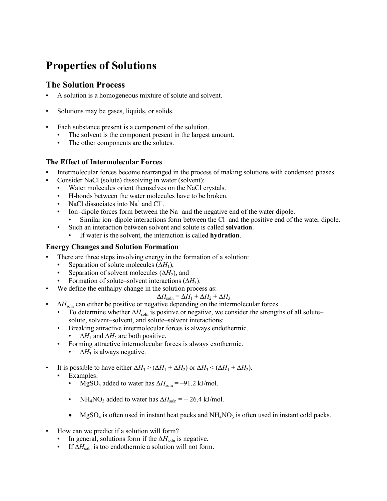# **Properties of Solutions**

# **The Solution Process**

- A solution is a homogeneous mixture of solute and solvent.
- Solutions may be gases, liquids, or solids.
- Each substance present is a component of the solution.
	- The solvent is the component present in the largest amount.
	- The other components are the solutes.

# **The Effect of Intermolecular Forces**

- Intermolecular forces become rearranged in the process of making solutions with condensed phases.
- Consider NaCl (solute) dissolving in water (solvent):
	- Water molecules orient themselves on the NaCl crystals.
	- H-bonds between the water molecules have to be broken.
	- NaCl dissociates into  $Na^+$  and Cl<sup>-</sup>.
	- Ion–dipole forces form between the  $Na<sup>+</sup>$  and the negative end of the water dipole.
		- Similar ion–dipole interactions form between the Cl<sup>–</sup> and the positive end of the water dipole.
		- Such an interaction between solvent and solute is called **solvation**.
			- If water is the solvent, the interaction is called **hydration**.

# **Energy Changes and Solution Formation**

- There are three steps involving energy in the formation of a solution:
	- Separation of solute molecules (∆*H*1),
	- Separation of solvent molecules (Δ*H*<sub>2</sub>), and
	- Formation of solute–solvent interactions (∆*H*3).
- We define the enthalpy change in the solution process as:

# $\Delta H_{\text{soln}} = \Delta H_1 + \Delta H_2 + \Delta H_3$

- $\Delta H_{\text{soln}}$  can either be positive or negative depending on the intermolecular forces.
	- To determine whether ΔH<sub>soln</sub> is positive or negative, we consider the strengths of all solute– solute, solvent–solvent, and solute–solvent interactions:
	- Breaking attractive intermolecular forces is always endothermic.
		- $\Delta H_1$  and  $\Delta H_2$  are both positive.
	- Forming attractive intermolecular forces is always exothermic.
		- $\Delta H_3$  is always negative.
- It is possible to have either  $\Delta H_3$  > ( $\Delta H_1$  +  $\Delta H_2$ ) or  $\Delta H_3$  < ( $\Delta H_1$  +  $\Delta H_2$ ).
	- Examples:
		- MgSO<sub>4</sub> added to water has  $\Delta H_{\text{soln}} = -91.2 \text{ kJ/mol}$ .
		- NH<sub>4</sub>NO<sub>3</sub> added to water has  $\Delta H_{\text{soln}} = +26.4 \text{ kJ/mol}$ .
		- $MgSO<sub>4</sub>$  is often used in instant heat packs and  $NH<sub>4</sub>NO<sub>3</sub>$  is often used in instant cold packs.
- How can we predict if a solution will form?
	- In general, solutions form if the  $\Delta H_{\text{soln}}$  is negative.
	- If  $\Delta H_{\text{soln}}$  is too endothermic a solution will not form.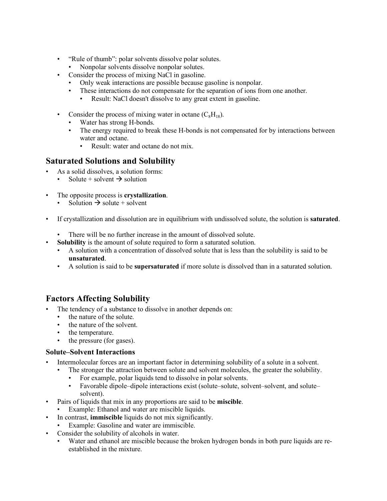- "Rule of thumb": polar solvents dissolve polar solutes.
	- Nonpolar solvents dissolve nonpolar solutes.
- Consider the process of mixing NaCl in gasoline.
	- Only weak interactions are possible because gasoline is nonpolar.<br>• These interactions do not compensate for the separation of ions from
		- These interactions do not compensate for the separation of ions from one another.
			- Result: NaCl doesn't dissolve to any great extent in gasoline.
- Consider the process of mixing water in octane  $(C_8H_{18})$ .
	- Water has strong H-bonds.
	- The energy required to break these H-bonds is not compensated for by interactions between water and octane.
		- Result: water and octane do not mix.

# **Saturated Solutions and Solubility**

- As a solid dissolves, a solution forms:
	- Solute + solvent  $\rightarrow$  solution
- The opposite process is **crystallization**.
	- Solution  $\rightarrow$  solute + solvent
- If crystallization and dissolution are in equilibrium with undissolved solute, the solution is **saturated**.
	- There will be no further increase in the amount of dissolved solute.
- **Solubility** is the amount of solute required to form a saturated solution.
	- A solution with a concentration of dissolved solute that is less than the solubility is said to be **unsaturated**.
	- A solution is said to be **supersaturated** if more solute is dissolved than in a saturated solution.

# **Factors Affecting Solubility**

- The tendency of a substance to dissolve in another depends on:
	- the nature of the solute.
	- the nature of the solvent.
	- the temperature.
	- the pressure (for gases).

## **Solute–Solvent Interactions**

- Intermolecular forces are an important factor in determining solubility of a solute in a solvent.
	- The stronger the attraction between solute and solvent molecules, the greater the solubility.
		- For example, polar liquids tend to dissolve in polar solvents.
		- Favorable dipole–dipole interactions exist (solute–solute, solvent–solvent, and solute– solvent).
- Pairs of liquids that mix in any proportions are said to be **miscible**.
	- Example: Ethanol and water are miscible liquids.
- In contrast, **immiscible** liquids do not mix significantly.
- Example: Gasoline and water are immiscible.
- Consider the solubility of alcohols in water.
	- Water and ethanol are miscible because the broken hydrogen bonds in both pure liquids are reestablished in the mixture.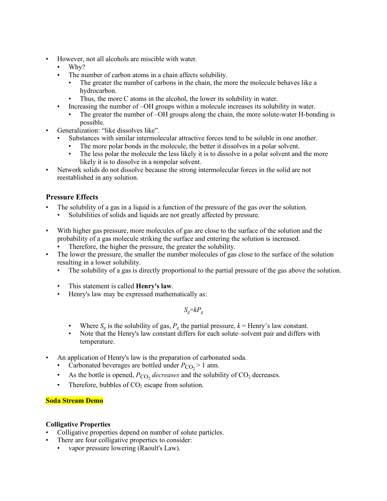- However, not all alcohols are miscible with water.
	- Why?
	- The number of carbon atoms in a chain affects solubility.
		- The greater the number of carbons in the chain, the more the molecule behaves like a hydrocarbon.
		- Thus, the more C atoms in the alcohol, the lower its solubility in water.
	- Increasing the number of –OH groups within a molecule increases its solubility in water.
		- The greater the number of –OH groups along the chain, the more solute-water H-bonding is possible.
- Generalization: "like dissolves like".
	- Substances with similar intermolecular attractive forces tend to be soluble in one another.
		- The more polar bonds in the molecule, the better it dissolves in a polar solvent.
		- The less polar the molecule the less likely it is to dissolve in a polar solvent and the more likely it is to dissolve in a nonpolar solvent.
- Network solids do not dissolve because the strong intermolecular forces in the solid are not reestablished in any solution.

#### **Pressure Effects**

- The solubility of a gas in a liquid is a function of the pressure of the gas over the solution.
	- Solubilities of solids and liquids are not greatly affected by pressure.
- With higher gas pressure, more molecules of gas are close to the surface of the solution and the probability of a gas molecule striking the surface and entering the solution is increased.
	- Therefore, the higher the pressure, the greater the solubility.
- The lower the pressure, the smaller the number molecules of gas close to the surface of the solution resulting in a lower solubility.
	- The solubility of a gas is directly proportional to the partial pressure of the gas above the solution.
	- This statement is called **Henry's law**.
	- Henry's law may be expressed mathematically as:

# $S_{\sigma} = kP_{\sigma}$

- Where  $S_g$  is the solubility of gas,  $P_g$  the partial pressure,  $k =$  Henry's law constant.
- Note that the Henry's law constant differs for each solute–solvent pair and differs with temperature.
- An application of Henry's law is the preparation of carbonated soda.
	- Carbonated beverages are bottled under  $P_{CO_2}$  > 1 atm.
	- As the bottle is opened,  $P_{CO_2}$  *decreases* and the solubility of  $CO_2$  decreases.
	- Therefore, bubbles of  $CO<sub>2</sub>$  escape from solution.

#### **Soda Stream Demo**

#### **Colligative Properties**

- Colligative properties depend on number of solute particles.
- There are four colligative properties to consider:
	- vapor pressure lowering (Raoult's Law).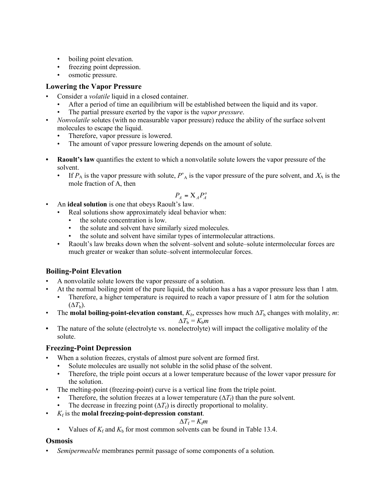- boiling point elevation.
- freezing point depression.
- osmotic pressure.

# **Lowering the Vapor Pressure**

- Consider a *volatile* liquid in a closed container.
	- After a period of time an equilibrium will be established between the liquid and its vapor.
	- The partial pressure exerted by the vapor is the *vapor pressure*.
- *Nonvolatile* solutes (with no measurable vapor pressure) reduce the ability of the surface solvent molecules to escape the liquid.
	- Therefore, vapor pressure is lowered.
	- The amount of vapor pressure lowering depends on the amount of solute.
- **• Raoult's law** quantifies the extent to which a nonvolatile solute lowers the vapor pressure of the solvent.
	- If  $P_A$  is the vapor pressure with solute,  $P^{\circ}{}_{A}$  is the vapor pressure of the pure solvent, and  $X_A$  is the mole fraction of A, then

$$
P_A = \mathbf{X}_A P_A^o
$$

- An **ideal solution** is one that obeys Raoult's law.
	- Real solutions show approximately ideal behavior when:
		- the solute concentration is low.
		- the solute and solvent have similarly sized molecules.
		- the solute and solvent have similar types of intermolecular attractions.
	- Raoult's law breaks down when the solvent–solvent and solute–solute intermolecular forces are much greater or weaker than solute–solvent intermolecular forces.

## **Boiling-Point Elevation**

- A nonvolatile solute lowers the vapor pressure of a solution.
	- At the normal boiling point of the pure liquid, the solution has a has a vapor pressure less than 1 atm.
		- Therefore, a higher temperature is required to reach a vapor pressure of 1 atm for the solution  $(\Delta T_{\rm b})$ .
- The **molal boiling-point-elevation constant**,  $K_b$ , expresses how much  $\Delta T_b$  changes with molality, *m*:  $\Delta T_{\rm b} = K_{\rm b}m$
- **•** The nature of the solute (electrolyte vs. nonelectrolyte) will impact the colligative molality of the solute.

## **Freezing-Point Depression**

- When a solution freezes, crystals of almost pure solvent are formed first.
	- Solute molecules are usually not soluble in the solid phase of the solvent.
	- Therefore, the triple point occurs at a lower temperature because of the lower vapor pressure for the solution.
- The melting-point (freezing-point) curve is a vertical line from the triple point.
	- Therefore, the solution freezes at a lower temperature  $(\Delta T_f)$  than the pure solvent.
	- The decrease in freezing point  $(\Delta T_f)$  is directly proportional to molality.
- $K_f$  is the **molal freezing-point-depression constant**.

## $\Delta T_f = K_f m$

• Values of  $K_f$  and  $K_b$  for most common solvents can be found in Table 13.4.

## **Osmosis**

• *Semipermeable* membranes permit passage of some components of a solution.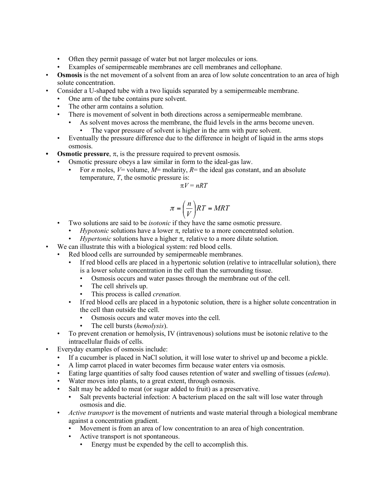- Often they permit passage of water but not larger molecules or ions.
- Examples of semipermeable membranes are cell membranes and cellophane.
- **Osmosis** is the net movement of a solvent from an area of low solute concentration to an area of high solute concentration.
- Consider a U-shaped tube with a two liquids separated by a semipermeable membrane.
	- One arm of the tube contains pure solvent.
	- The other arm contains a solution.
	- There is movement of solvent in both directions across a semipermeable membrane.
		- As solvent moves across the membrane, the fluid levels in the arms become uneven.
			- The vapor pressure of solvent is higher in the arm with pure solvent.
	- Eventually the pressure difference due to the difference in height of liquid in the arms stops osmosis.
- **• Osmotic pressure**,  $\pi$ , is the pressure required to prevent osmosis.
	- Osmotic pressure obeys a law similar in form to the ideal-gas law.
		- For *n* moles,  $V=$  volume,  $M=$  molarity,  $R=$  the ideal gas constant, and an absolute temperature, *T*, the osmotic pressure is:

 $\pi V$  =  $nRT$ 

$$
\pi = \left(\frac{n}{V}\right)RT = MRT
$$

- Two solutions are said to be *isotonic* if they have the same osmotic pressure.
	- *Hypotonic* solutions have a lower  $\pi$ , relative to a more concentrated solution.
	- *Hypertonic* solutions have a higher  $\pi$ , relative to a more dilute solution.
- We can illustrate this with a biological system: red blood cells.
	- Red blood cells are surrounded by semipermeable membranes.
		- If red blood cells are placed in a hypertonic solution (relative to intracellular solution), there is a lower solute concentration in the cell than the surrounding tissue.
			- Osmosis occurs and water passes through the membrane out of the cell.
			- The cell shrivels up.
			- This process is called *crenation.*
		- If red blood cells are placed in a hypotonic solution, there is a higher solute concentration in the cell than outside the cell.
			- Osmosis occurs and water moves into the cell.
			- The cell bursts (*hemolysis*).
	- To prevent crenation or hemolysis, IV (intravenous) solutions must be isotonic relative to the intracellular fluids of cells.
- Everyday examples of osmosis include:
	- If a cucumber is placed in NaCl solution, it will lose water to shrivel up and become a pickle.
	- A limp carrot placed in water becomes firm because water enters via osmosis.
	- Eating large quantities of salty food causes retention of water and swelling of tissues (*edema*).
	- Water moves into plants, to a great extent, through osmosis.
	- Salt may be added to meat (or sugar added to fruit) as a preservative.
		- Salt prevents bacterial infection: A bacterium placed on the salt will lose water through osmosis and die.
	- *Active transport* is the movement of nutrients and waste material through a biological membrane against a concentration gradient.
		- Movement is from an area of low concentration to an area of high concentration.
		- Active transport is not spontaneous.
			- Energy must be expended by the cell to accomplish this.